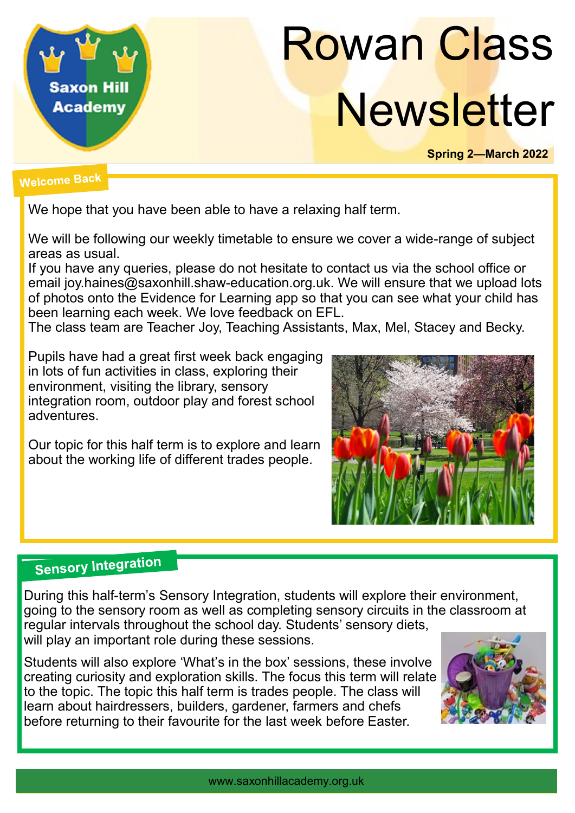

# Rowan Class **Newsletter**

**Spring 2—March 2022**

### **Welcome Back**

We hope that you have been able to have a relaxing half term.

We will be following our weekly timetable to ensure we cover a wide-range of subject areas as usual.

If you have any queries, please do not hesitate to contact us via the school office or email joy.haines@saxonhill.shaw-education.org.uk. We will ensure that we upload lots of photos onto the Evidence for Learning app so that you can see what your child has been learning each week. We love feedback on EFL.

The class team are Teacher Joy, Teaching Assistants, Max, Mel, Stacey and Becky.

Pupils have had a great first week back engaging in lots of fun activities in class, exploring their environment, visiting the library, sensory integration room, outdoor play and forest school adventures.

Our topic for this half term is to explore and learn about the working life of different trades people.



# **Sensory Integration**

During this half-term's Sensory Integration, students will explore their environment, going to the sensory room as well as completing sensory circuits in the classroom at regular intervals throughout the school day. Students' sensory diets, will play an important role during these sessions.

Students will also explore 'What's in the box' sessions, these involve creating curiosity and exploration skills. The focus this term will relate to the topic. The topic this half term is trades people. The class will learn about hairdressers, builders, gardener, farmers and chefs before returning to their favourite for the last week before Easter.